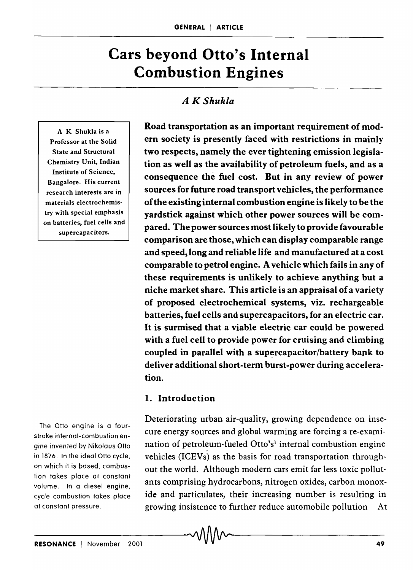# **Cars beyond Otto's Internal Combustion Engines**

## *A K Shukla*

A K Shukla is a Professor at the Solid State and Structural Chemistry Unit, Indian Institute of Science, Bangalore. His current research interests are in materials electrochemistry with special emphasis on batteries, fuel cells and supercapacitors.

The Otto engine is a fourstroke internal-combustion engine invented by Nikolaus Otto in 1876. In the ideal Otto cycle, on which it is based, combustion takes place at constant volume. In a diesel engine, cycle combustion takes place at constant pressure.

Road transportation as an important requirement of modern society is presently faced with restrictions in mainly two respects, namely the ever tightening emission legislation as well as the availability of petroleum fuels, and as a consequence the fuel cost. But in any review of power sources for future road transport vehicles, the performance of the existing internal combustion engine is likely to be the yardstick against which other power sources will be compared. The power sources most likely to provide favourable comparison are those, which can display comparable range and speed, long and reliable life and manufactured at a cost comparable to petrol engine. A vehicle which fails in any of these requirements is unlikely to achieve anything but a niche market share. This article is an appraisal of a variety of proposed electrochemical systems, viz. rechargeable batteries, fuel cells and supercapacitors, for an electric car. It is surmised that a viable electric car could be powered with a fuel cell to provide power for cruising and climbing coupled in parallel with a supercapacitor/battery bank to deliver additional short-term burst-power during acceleration.

#### 1. Introduction

Deteriorating urban air-quality, growing dependence on insecure energy sources and global warming are forcing a re-examination of petroleum-fueled Otto's<sup>1</sup> internal combustion engine vehicles (ICEVs) as the basis for road transportation throughout the world. Although modern cars emit far less toxic pollutants comprising hydrocarbons, nitrogen oxides, carbon monoxide and particulates, their increasing number is resulting in growing insistence to further reduce automobile pollution At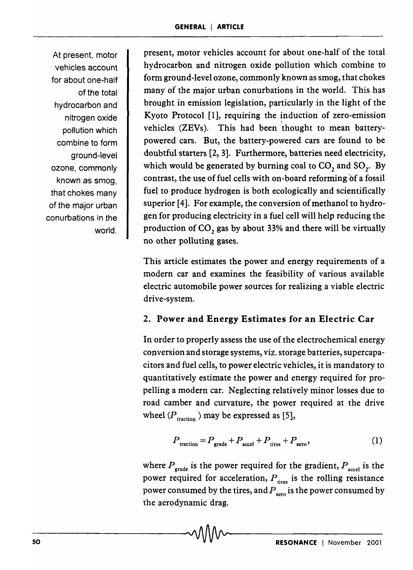At present, motor vehicles account for about one-half of the total hydrocarbon and nitrogen oxide pollution which combine to form ground-level ozone, commonly known as smog, that chokes many of the major urban conurbations in the world.

present, motor vehicles account for about one-half of the total hydrocarbon and nitrogen oxide pollution which combine to form ground-level ozone, commonly known as smog, that chokes many of the major urban conurbations in the world. This has brought in emission legislation, particularly in the light of the Kyoto Protocol  $[1]$ , requiring the induction of zero-emission vehicles (ZEVs). This had been thought to mean batterypowered cars. But, the battery-powered cars are found to be doubtful starters [2, 3]. Furthermore, batteries need electricity, which would be generated by burning coal to  $CO$ , and  $SO<sub>2</sub>$ . By contrast, the use of fuel cells with on-board reforming of a fossil fuel to produce hydrogen is both ecologically and scientifically superior [4]. For example, the conversion of methanol to hydrogen for producing electricity in a fuel cell will help reducing the production of CO<sub>2</sub> gas by about 33% and there will be virtually no other polluting gases.

This article estimates the power and energy requirements of a modern car and examines the feasibility of various available electric automobile power sources for realizing a viable electric drive-system.

#### 2. Power and Energy Estimates for an Electric Car

In order to properly assess the use of the electrochemical energy conversion and storage systems, viz. storage batteries, supercapacitors and fuel cells, to power electric vehicles, it is mandatory to quantitatively estimate the power and energy required for propelling a modern car. Neglecting relatively minor losses due to road camber and curvature, the power required at the drive wheel  $(P_{\text{traction}})$  may be expressed as [5],

$$
P_{\text{traction}} = P_{\text{grade}} + P_{\text{accel}} + P_{\text{ tires}} + P_{\text{aero}},\tag{1}
$$

where  $P_{\text{grade}}$  is the power required for the gradient,  $P_{\text{accel}}$  is the power required for acceleration,  $P_{\text{lines}}$  is the rolling resistance power consumed by the tires, and  $P_{\text{zero}}$  is the power consumed by the aerodynamic drag.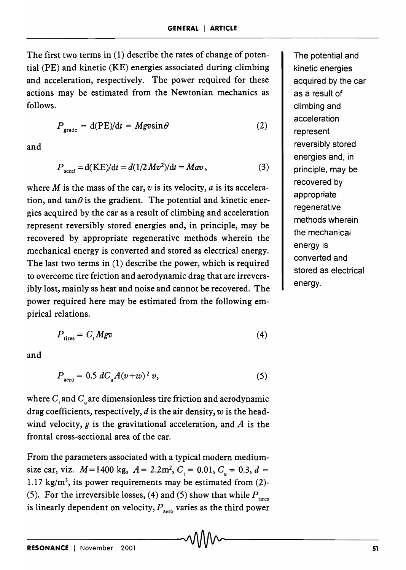The first two terms in  $(1)$  describe the rates of change of potential (PE) and kinetic (KE) energies associated during climbing and acceleration, respectively. The power required for these actions may be estimated from the Newtonian mechanics as follows.

$$
P_{\text{grade}} = d(PE)/dt = Mgvsin\theta \tag{2}
$$

and

$$
P_{\text{accel}} = d(KE)/dt = d(1/2 Mv^2)/dt = Mav,
$$
\n(3)

where M is the mass of the car,  $v$  is its velocity,  $a$  is its acceleration, and tan $\theta$  is the gradient. The potential and kinetic energies acquired by the car as a result of climbing and acceleration represent reversibly stored energies and, in principle, may be recovered by appropriate regenerative methods wherein the mechanical energy is converted and stored as electrical energy. The last two terms in (1) describe the power, which is required to overcome tire friction and aerodynamic drag that are irreversibly lost, mainly as heat and noise and cannot be recovered. The power required here may be estimated from the following empirical relations.

$$
P_{\text{ tires}} = C_{\text{t}} M g v \tag{4}
$$

and

$$
P_{\text{aero}} = 0.5 \, dC_{\text{a}} A (v + w)^2 \, v,\tag{5}
$$

where  $C_t$  and  $C_s$  are dimensionless tire friction and aerodynamic drag coefficients, respectively, *d* is the air density, w is the headwind velocity,  $g$  is the gravitational acceleration, and  $A$  is the frontal cross-sectional area of the car.

From the parameters associated with a typical modern mediumsize car, viz.  $M = 1400$  kg,  $A = 2.2$ m<sup>2</sup>,  $C<sub>i</sub> = 0.01$ ,  $C<sub>a</sub> = 0.3$ ,  $d =$ 1.17 kg/m<sup>3</sup>, its power requirements may be estimated from  $(2)$ -(5). For the irreversible losses, (4) and (5) show that while  $P_{\text{tires}}$ is linearly dependent on velocity,  $P_{\text{aero}}$  varies as the third power The potential and kinetic energies acquired by the car as a result of climbing and acceleration represent reversibly stored energies and, in principle, may be recovered by appropriate regenerative methods wherein the mechanical energy is converted and stored as electrical energy.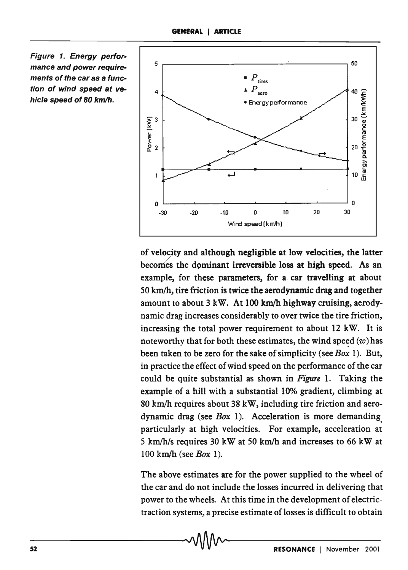



of velocity and although negligible at low velocities, the latter / becomes the dominant irreversible loss at high speed. As an example, for these parameters, for a car travelling at about  $50 \text{ km/h}$ , tire friction is twice the aerodynamic drag and together amount to about 3 kW. At 100 km/h highway cruising, aerodynamic drag increases considerably to over twice the tire friction, increasing the total power requirement to about 12 kW. It is noteworthy that for both these estimates, the wind speed  $(w)$  has been taken to be zero for the sake of simplicity (see *Box* 1). But, in practice the effect of wind speed on the performance of the car could be quite substantial as shown in *Figure* 1. Taking the example of a hill with a substantial 10% gradient, climbing at 80 km/h requires about 38 kW, including tire friction and aerodynamic drag (see *Box* 1). Acceleration is more demanding, particularly at high velocities. For example, acceleration at 5 km/h/s requires 30 kW at 50 km/h and increases to 66 kW at 100 km/h (see *Box* 1).

The above estimates are for the power supplied to the wheel of the car and do not include the losses incurred in delivering that power to the wheels. At this time in the development of electrictraction systems, a precise estimate of losses is difficult to obtain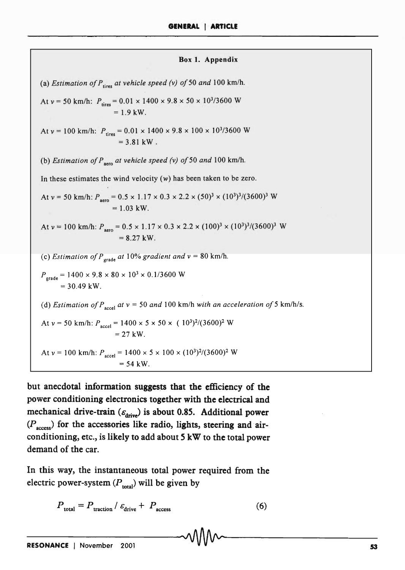| Box 1. Appendix                                                                                                                        |
|----------------------------------------------------------------------------------------------------------------------------------------|
| (a) Estimation of $P_{\text{lines}}$ at vehicle speed (v) of 50 and 100 km/h.                                                          |
| At $v = 50$ km/h: $P_{\text{tires}} = 0.01 \times 1400 \times 9.8 \times 50 \times 10^{3}/3600$ W<br>$= 1.9$ kW.                       |
| At $v = 100$ km/h: $P_{\text{tires}} = 0.01 \times 1400 \times 9.8 \times 100 \times 10^{3}/3600$ W<br>$= 3.81$ kW.                    |
| (b) Estimation of $P_{\text{aero}}$ at vehicle speed (v) of 50 and 100 km/h.                                                           |
| In these estimates the wind velocity $(w)$ has been taken to be zero.                                                                  |
| At $v = 50$ km/h: $P_{\text{zero}} = 0.5 \times 1.17 \times 0.3 \times 2.2 \times (50)^3 \times (10^3)^3/(3600)^3$ W<br>$= 1.03$ kW.   |
| At $v = 100$ km/h: $P_{\text{aero}} = 0.5 \times 1.17 \times 0.3 \times 2.2 \times (100)^3 \times (10^3)^3/(3600)^3$ W<br>$= 8.27$ kW. |
| (c) Estimation of $P_{\text{grade}}$ at 10% gradient and $v = 80$ km/h.                                                                |
| $P_{\text{grade}} = 1400 \times 9.8 \times 80 \times 10^3 \times 0.1/3600 \text{ W}$<br>$= 30.49$ kW.                                  |
| (d) Estimation of $P_{\text{accel}}$ at $v = 50$ and 100 km/h with an acceleration of 5 km/h/s.                                        |
| At $v = 50$ km/h: $P_{\text{accel}} = 1400 \times 5 \times 50 \times (10^3)^2/(3600)^2$ W<br>$= 27$ kW.                                |
| At $v = 100$ km/h: $P_{\text{accel}} = 1400 \times 5 \times 100 \times (10^3)^2/(3600)^2$ W<br>$= 54$ kW.                              |

but anecdotal information suggests that the efficiency of the power conditioning electronics together with the electrical and mechanical drive-train  $(\varepsilon_{\text{drive}})$  is about 0.85. Additional power  $(P_{\text{access}})$  for the accessories like radio, lights, steering and airconditioning, etc., is likely to add about 5 kW to the total power demand of the car.

In this way, the instantaneous total power required from the electric power-system  $(P_{total})$  will be given by

$$
P_{\text{total}} = P_{\text{traction}} / \varepsilon_{\text{drive}} + P_{\text{access}}
$$
 (6)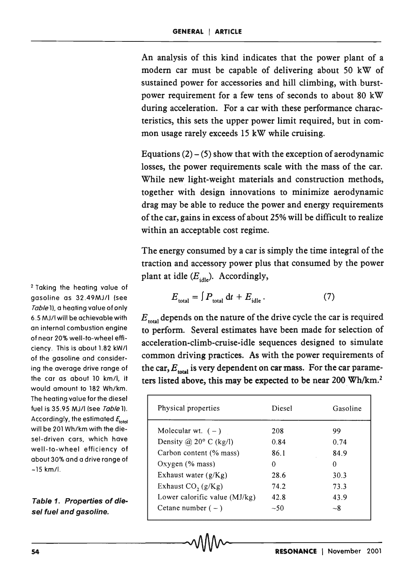An analysis of this kind indicates that the power plant of a modern car must be capable of delivering about SO kW of sustained power for accessories and hill climbing, with. burstpower requirement for a few tens of seconds to about 80 kW during acceleration. For a car with these performance characteristics, this sets the upper power limit required, but in common usage rarely exceeds 15 kW while cruising.

Equations  $(2) - (5)$  show that with the exception of aerodynamic losses, the power requirements scale with the mass of the car. While new light-weight materials and construction methods, together with design innovations to minimize aerodynamic drag may be able to reduce the power and energy requirements of the car, gains in excess of about 25% will be difficult to realize within an acceptable cost regime.

The energy consumed by a car is simply the time integral of the traction and accessory power plus that consumed by the power plant at idle  $(E_{\text{idle}})$ . Accordingly,

$$
E_{\text{total}} = \int P_{\text{total}} \, \mathrm{d}t + E_{\text{idle}} \,. \tag{7}
$$

 $E_{\text{total}}$  depends on the nature of the drive cycle the car is required to perform. Several estimates have been made for selection of acceleration-climb-cruise-idle sequences designed to simulate common driving practices. As with the power requirements of the car,  $E_{total}$  is very dependent on car mass. For the car parameters listed above, this may be expected to be near 200 Wh/km.<sup>2</sup>

| 54                                                                                                                                                                 |                                 | <b>RESONANCE</b> | November 2001 |
|--------------------------------------------------------------------------------------------------------------------------------------------------------------------|---------------------------------|------------------|---------------|
|                                                                                                                                                                    |                                 |                  |               |
| sel-driven cars, which have<br>well-to-wheel efficiency of<br>about 30% and a drive range of<br>~15 km/l.<br>Table 1. Properties of die-<br>sel fuel and gasoline. | Cetane number $(-)$             | $~1$ - 50        | $-8$          |
|                                                                                                                                                                    | Lower calorific value $(MJ/kg)$ | 42.8             | 43.9          |
|                                                                                                                                                                    | Exhaust $CO$ , $(g/Kg)$         | 74.2             | 73.3          |
|                                                                                                                                                                    | Exhaust water $(g/Kg)$          | 28.6             | 30.3          |
|                                                                                                                                                                    | Oxygen $(%$ mass)               | $\Omega$         | $\mathbf{0}$  |
|                                                                                                                                                                    | Carbon content (% mass)         | 86.1             | 84.9          |
|                                                                                                                                                                    | Density @ $20^{\circ}$ C (kg/l) | 0.84             | 0.74          |
| Accordingly, the estimated $F_{total}$<br>will be 201 Wh/km with the die-                                                                                          | Molecular wt. $(-)$             | 208              | 99            |
| fuel is 35.95 MJ/l (see <i>Table</i> 1).                                                                                                                           | Physical properties             | Diesel           | Gasoline      |
| The neating value for the dieser                                                                                                                                   |                                 |                  |               |

<sup>2</sup>Taking the heating value of gasoline as 32.49MJ/I (see Table 1), a heating value of only *6.5* MJ/I will be achievable with an internal combustion engine of near 20% well-to-wheel efficiency. This is about 1.82 kW/l of the gasoline and considering the average drive range of the car as about 10 km/l, it would amount to 182 Wh/km. The heating value for the diesel fuel is 35.95 MJ/l (see Table 1). Accordingly, the estimated  $F_{total}$ will be 201 Wh/km with the diesel-driven cars, which have well-to-wheel efficiency of about 30% and a drive range of  $-15$  km/l.

Table 1. Properties of diesel fuel and gasoline.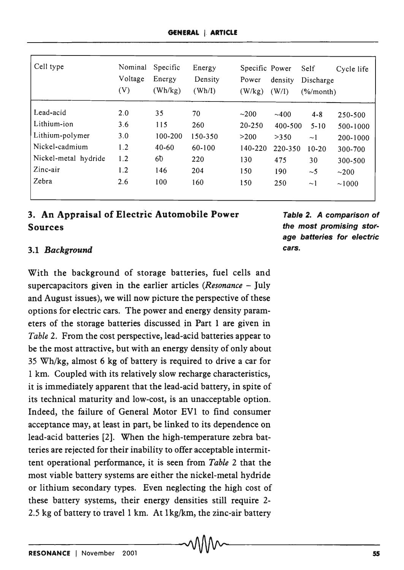| Cell type            | Nominal<br>Voltage<br>(V) | Specific<br>Energy<br>(Wh/kg) | Energy<br>Density<br>$(\text{Wh/I})$ | Specific Power<br>Power<br>(W/kg) | density<br>(W/I) | Self<br>Discharge<br>$(\frac{6}{\text{moment}})$ | Cycle life |
|----------------------|---------------------------|-------------------------------|--------------------------------------|-----------------------------------|------------------|--------------------------------------------------|------------|
| Lead-acid            | 2.0                       | 35                            | 70                                   | ~200                              | ~100             | $4 - 8$                                          | 250-500    |
| Lithium-ion          | 3.6                       | 115                           | 260                                  | $20 - 250$                        | 400-500          | $5 - 10$                                         | 500-1000   |
| Lithium-polymer      | 3.0                       | 100-200                       | 150-350                              | >200                              | >350             | $\sim$ 1                                         | 200-1000   |
| Nickel-cadmium       | 1.2                       | $40 - 60$                     | 60-100                               | 140-220                           | 220-350          | $10 - 20$                                        | 300-700    |
| Nickel-metal hydride | 1.2                       | 60                            | 220                                  | 130                               | 475              | 30                                               | 300-500    |
| Zinc-air             | 1.2                       | 146                           | 204                                  | 150                               | 190              | $\sim$ 5                                         | $\sim$ 200 |
| Zebra                | 2.6                       | 100                           | 160                                  | 150                               | 250              | $\sim$ 1                                         | ~1000      |

## 3. An Appraisal of Electric Automobile Power Sources

## *3.1 Background*

With the background of storage batteries, fuel cells and supercapacitors given in the earlier articles *(Resonance –* July and August issues), we will now picture the perspective of these options for electric cars. The power and energy density parameters of the storage batteries discussed in Part 1 are given in *Table* 2. From the cost perspective, lead-acid batteries appear to be the most attractive, but with an energy density of only about 35 Wh/kg, almost 6 kg of battery is required to drive a car for 1 km. Coupled with its relatively slow recharge characteristics, it is immediately apparent that the lead-acid battery, in spite of its technical maturity and low-cost, is an unacceptable option. Indeed, the failure of General Motor EVl to find consumer acceptance may, at least in part, be linked to its dependence on lead-acid batteries [2]. When the high-temperature zebra batteries are rejected for their inability to offer acceptable intermittent operational performance, it is seen from *Table* 2 that the most viable battery systems are either the nickel-metal hydride or lithium secondary types. Even neglecting the high cost of these battery systems, their energy densities still require 2- 2.5 kg of battery to travel 1 km. At  $1$ kg/km, the zinc-air battery

Table 2. A comparison of the most promising storage batteries for electric cars.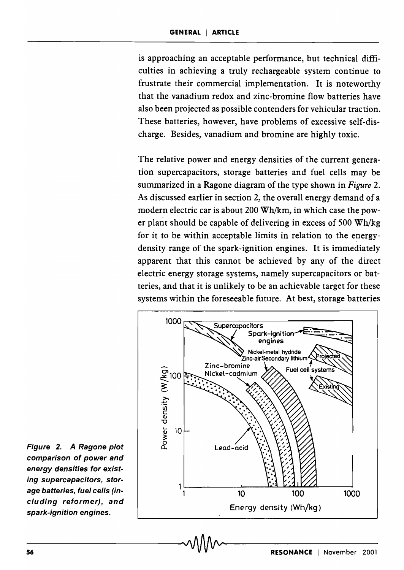is approaching an acceptable performance, but technical difficulties in achieving a truly rechargeable system continue to frustrate their commercial implementation. It is noteworthy that the vanadium redox and zinc-bromine flow batteries have also been projected as possible contenders for vehicular traction. These batteries, however, have problems of excessive self-discharge. Besides, vanadium and bromine are highly toxic.

The relative power and energy densities of the current generation supercapacitors, storage batteries and fuel cells may be summarized in a Ragone diagram of the type shown in *Figure 2.*  As discussed earlier in section 2, the overall energy demand of a modern electric car is about 200 Wh/km, in which case the power plant should be capable of delivering in excess of 500 Wh/kg for it to be within acceptable limits in relation to the energydensity range of the spark-ignition engines. It is immediately apparent that this cannot be achieved by any of the direct electric energy storage systems, namely supercapacitors or batteries, and that it is unlikely to be an achievable target for these systems within the foreseeable future. At best, storage batteries



Figure 2. A Ragone plot comparison of power and energy densities for existing supercapacitors, storage batteries, fuel cells (including reformer), and spark-ignition engines.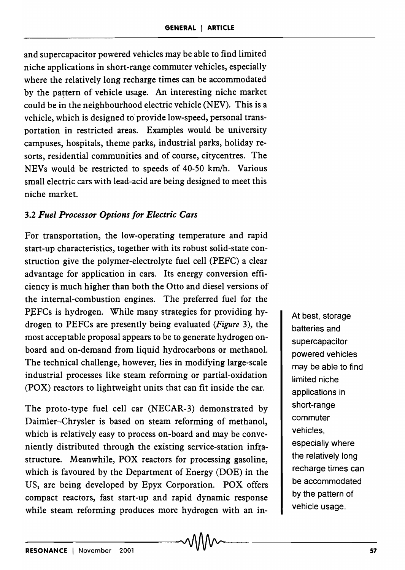and supercapacitor powered vehicles may be able to find limited niche applications in short-range commuter vehicles, especially where the relatively long recharge times can be accommodated by the pattern of vehicle usage. An interesting niche market could be in the neighbourhood electric vehicle (NEV). This is a vehicle, which is designed to provide low-speed, personal transportation in restricted areas. Examples would be university campuses, hospitals, theme parks, industrial parks, holiday resorts, residential communities and of course, citycentres. The NEVs would be restricted to speeds of 40-50 km/h. Various small electric cars with lead-acid are being designed to meet this niche market.

## *3.2 Fuel Processor Options for Electric Cars*

For transportation, the low-operating temperature and rapid start-up characteristics, together with its robust solid-state construction give the polymer-electrolyte fuel cell (PEFC) a clear advantage for application in cars. Its energy conversion efficiency is much higher than both the Otto and diesel versions of the internal-combustion engines. The preferred fuel for the PEFCs is hydrogen. While many strategies for providing hydrogen to PEFCs are presently being evaluated *(Figure* 3), the most acceptable proposal appears to be to generate hydrogen onboard and on-demand from liquid hydrocarbons or methanol. The technical challenge, however, lies in modifying large-scale industrial processes like steam reforming or partial-oxidation (POX) reactors to lightweight units that can fit inside the car.

The proto-type fuel cell car (NECAR-3) demonstrated by Daimler-Chrysler is based on steam reforming of methanol, which is relatively easy to process on-board and may be conveniently distributed through the existing service-station infrastructure. Meanwhile, POX reactors for processing gasoline, which is favoured by the Department of Energy (DOE) in the US, are being developed by Epyx Corporation. POX offers compact reactors, fast start-up and rapid dynamic response while steam reforming produces more hydrogen with an inAt best, storage batteries and supercapacitor powered vehicles may be able to find limited niche applications in short-range commuter vehicles, especially where the relatively long recharge times can be accommodated by the pattern of vehicle usage.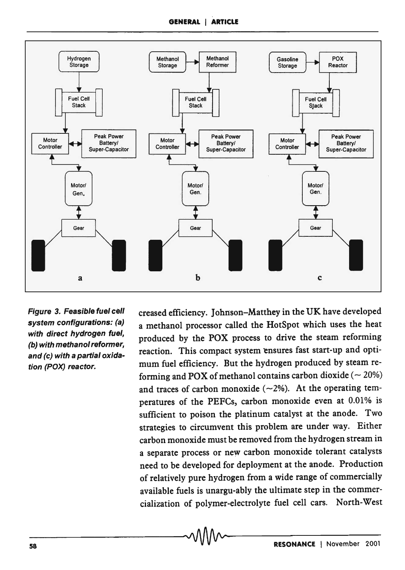

Figure 3. Feasible fuel cell system configurations: (a) with direct hydrogen fuel, (b) with methanol reformer, and (c) with a partial oxidation (POX) reactor.

creased efficiency. Johnson-Matthey in the UK have developed a methanol processor called the HotSpot which uses the heat produced by the POX process to drive the steam reforming reaction. This compact system ensures fast start-up and optimum fuel efficiency. But the hydrogen produced by steam reforming and POX of methanol contains carbon dioxide ( $\sim$  20%) and traces of carbon monoxide  $(-2%)$ . At the operating temperatures of the PEFCs, carbon monoxide even at 0.01% is sufficient to poison the platinum catalyst at the anode. Two strategies to circumvent this problem are under way. Either carbon monoxide must be removed from the hydrogen stream in a separate process or new carbon monoxide tolerant catalysts need to be developed for deployment at the anode. Production of relatively pure hydrogen from a wide range of commercially available fuels is unargu-ably the ultimate step in the commercialization of polymer-electrolyte fuel cell cars. North-West<br>
MAA<br>
RESONANCE | November 2001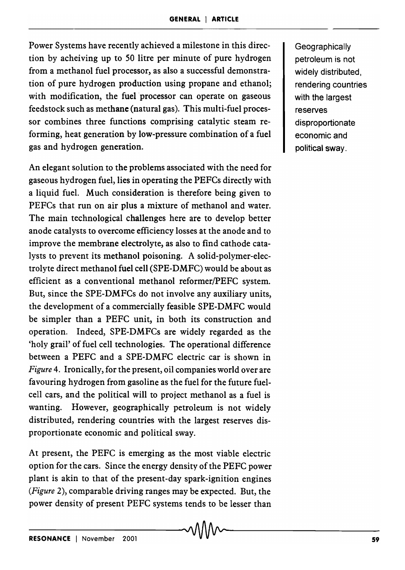Power Systems have recently achieved a milestone in this direction by acheiving up to 50 litre per minute of pure hydrogen from a methanol fuel processor, as also a successful demonstration of pure hydrogen production using propane and ethanol; with modification, the fuel processor can operate on gaseous feedstock such as methane (natural gas). This multi-fuel processor combines three functions comprising catalytic steam reforming, heat generation by low-pressure combination of a fuel gas and hydrogen generation.

An elegant solution to the problems associated with the need for gaseous hydrogen fuel, lies in operating the PEFCs directly with a liquid fuel. Much consideration is therefore being given to PEFCs that run on air plus a mixture of methanol and water. The main technological challenges here are to develop better anode catalysts to overcome efficiency losses at the anode and to improve the membrane electrolyte, as also to find cathode catalysts to prevent its methanol poisoning. A solid-polymer-electrolyte direct methanol fuel cell (SPE-DMFC) would be about as efficient as a conventional methanol reformer/PEFC system. But, since the SPE-DMFCs do not involve any auxiliary units, the development of a commercially feasible SPE-DMFC would be simpler than a PEFC unit, in both its construction and operation. Indeed, SPE-DMFCs are widely regarded as the 'holy grail' of fuel cell technologies. The operational difference between a PEFC and a SPE-DMFC electric car is shown in *Figure* 4. Ironically, for the present, oil companies world over are favouring hydrogen from gasoline as the fuel for the future fuelcell cars, and the political will to project methanol as a fuel is wanting. However, geographically petroleum is not widely distributed, rendering countries with the largest reserves disproportionate economic and political sway.

At present, the PEFC is emerging as the most viable electric option for the cars. Since the energy density of the PEFC power plant is akin to that of the present-day spark-ignition engines *(Figure* 2), comparable driving ranges may be expected. But, the power density of present PEFC systems tends to be lesser than

**Geographically** petroleum is not widely distributed, rendering countries with the largest reserves disproportionate economic and political sway.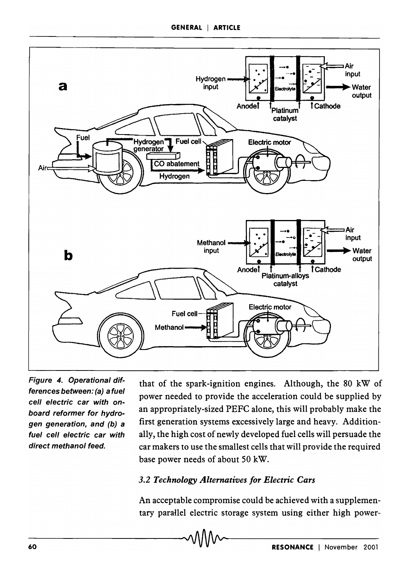

Figure 4. Operational differences between: (a) a fuel cell electric car with onboard reformer for hydrogen generation, and (b) a fuel cell electric car with direct methanol feed.

that of the spark-ignition engines. Although, the 80 kW of power needed to provide the acceleration could be supplied by an appropriately-sized PEFC alone, this will probably make the first generation systems excessively large and heavy. Additionally, the high cost of newly developed fuel cells will persuade the car makers to use the smallest cells that will provide the required base power needs of about SO kW.

#### *3.2 Technology Alternatives for Electric Cars*

An acceptable compromise could be achieved with a supplementary parallel electric storage system using either high power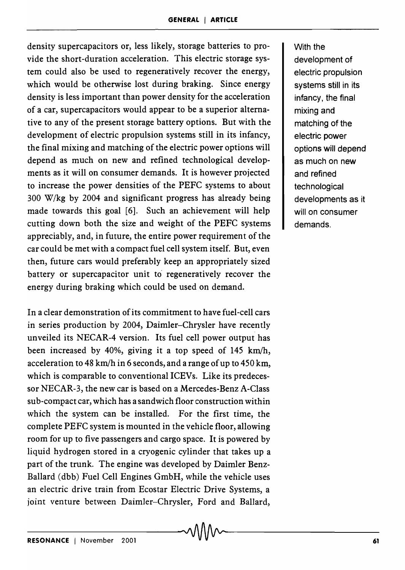density supercapacitors or, less likely, storage batteries to provide the short-duration acceleration. This electric storage system could also be used to regeneratively recover the energy, which would be otherwise lost during braking. Since energy density is less important than power density for the acceleration of a car, supercapacitors would appear to be a superior alternative to any of the present storage battery options. But with the development of electric propulsion systems still in its infancy, the final mixing and matching of the electric power options will depend as much on new and refined technological developments as it will on consumer demands. It is however projected to increase the power densities of the PEFC systems to about 300 W/kg by 2004 and significant progress has already being made towards this goal [6]. Such an achievement will help cutting down both the size and weight of the PEFC systems appreciably, and, in future, the entire power requirement of the car could be met with a compact fuel cell system itself. But, even then, future cars would preferably keep an appropriately sized battery or supercapacitor unit to regeneratively recover the energy during braking which could be used on demand.

In a clear demonstration of its commitment to have fuel-cell cars in series production by 2004, Daimler-Chrysler have recently unveiled its NECAR-4 version. Its fuel cell power output has been increased by 40%, giving it a top speed of 145 km/h, acceleration to 48 km/h in 6 seconds, and a range of up to 450 km, which is comparable to conventional ICEVs. Like its predecessor NECAR-3, the new car is based on a Mercedes-Benz A-Class sub-compact car, which has a sandwich floor construction within which the system can be installed. For the first time, the complete PEFC system is mounted in the vehicle floor, allowing room for up to five passengers and cargo space. It is powered by liquid hydrogen stored in a cryogenic cylinder that takes up a part of the trunk. The engine was developed by Daimler Benz-Ballard (dbb) Fuel Cell Engines GmbH, while the vehicle uses an electric drive train from Ecostar Electric Drive Systems, a joint venture between Daimler-Chrysler, Ford and Ballard,

With the development of electric propulsion systems still in its infancy, the final mixing and matching of the electric power options will depend as much on new and refined technological developments as it will on consumer demands.